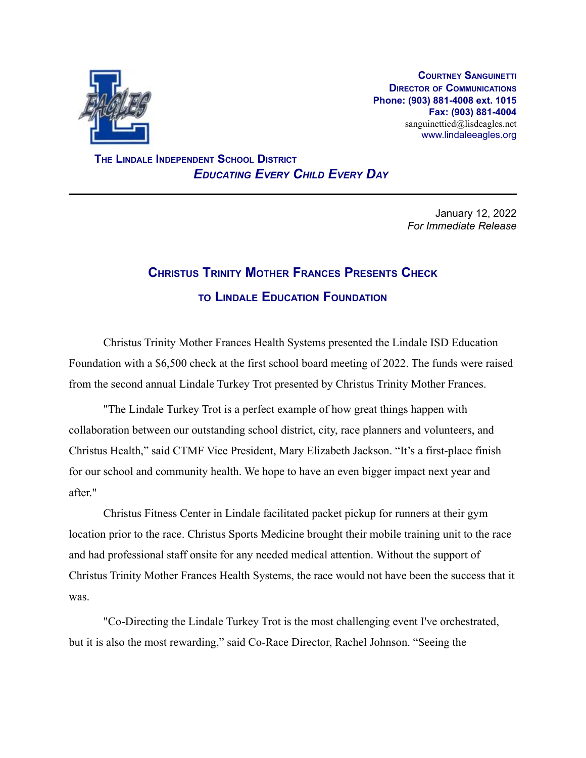

**COURTNEY SANGUINETTI DIRECTOR OF COMMUNICATIONS Phone: (903) 881-4008 ext. 1015 Fax: (903) 881-4004** sanguinetticd@lisdeagles.net www.lindaleeagles.org

**THE LINDALE INDEPENDENT SCHOOL DISTRICT** *EDUCATING EVERY CHILD EVERY DAY*

> January 12, 2022 *For Immediate Release*

## **CHRISTUS TRINITY MOTHER FRANCES PRESENTS CHECK TO LINDALE EDUCATION FOUNDATION**

Christus Trinity Mother Frances Health Systems presented the Lindale ISD Education Foundation with a \$6,500 check at the first school board meeting of 2022. The funds were raised from the second annual Lindale Turkey Trot presented by Christus Trinity Mother Frances.

"The Lindale Turkey Trot is a perfect example of how great things happen with collaboration between our outstanding school district, city, race planners and volunteers, and Christus Health," said CTMF Vice President, Mary Elizabeth Jackson. "It's a first-place finish for our school and community health. We hope to have an even bigger impact next year and after."

Christus Fitness Center in Lindale facilitated packet pickup for runners at their gym location prior to the race. Christus Sports Medicine brought their mobile training unit to the race and had professional staff onsite for any needed medical attention. Without the support of Christus Trinity Mother Frances Health Systems, the race would not have been the success that it was.

"Co-Directing the Lindale Turkey Trot is the most challenging event I've orchestrated, but it is also the most rewarding," said Co-Race Director, Rachel Johnson. "Seeing the